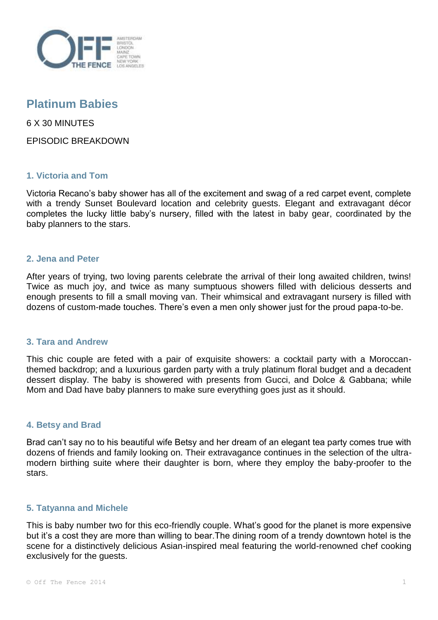

# **Platinum Babies**

6 X 30 MINUTES

EPISODIC BREAKDOWN

# **1. Victoria and Tom**

Victoria Recano's baby shower has all of the excitement and swag of a red carpet event, complete with a trendy Sunset Boulevard location and celebrity guests. Elegant and extravagant décor completes the lucky little baby's nursery, filled with the latest in baby gear, coordinated by the baby planners to the stars.

## **2. Jena and Peter**

After years of trying, two loving parents celebrate the arrival of their long awaited children, twins! Twice as much joy, and twice as many sumptuous showers filled with delicious desserts and enough presents to fill a small moving van. Their whimsical and extravagant nursery is filled with dozens of custom-made touches. There's even a men only shower just for the proud papa-to-be.

#### **3. Tara and Andrew**

This chic couple are feted with a pair of exquisite showers: a cocktail party with a Moroccanthemed backdrop; and a luxurious garden party with a truly platinum floral budget and a decadent dessert display. The baby is showered with presents from Gucci, and Dolce & Gabbana; while Mom and Dad have baby planners to make sure everything goes just as it should.

# **4. Betsy and Brad**

Brad can't say no to his beautiful wife Betsy and her dream of an elegant tea party comes true with dozens of friends and family looking on. Their extravagance continues in the selection of the ultramodern birthing suite where their daughter is born, where they employ the baby-proofer to the stars.

#### **5. Tatyanna and Michele**

This is baby number two for this eco-friendly couple. What's good for the planet is more expensive but it's a cost they are more than willing to bear.The dining room of a trendy downtown hotel is the scene for a distinctively delicious Asian-inspired meal featuring the world-renowned chef cooking exclusively for the guests.